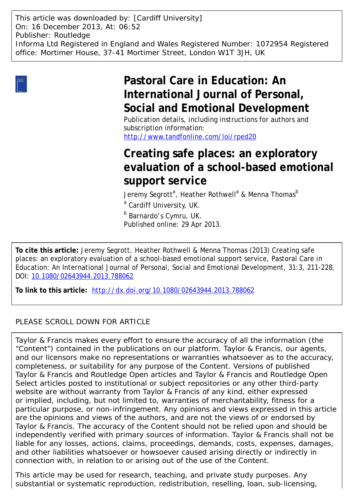This article was downloaded by: [Cardiff University] On: 16 December 2013, At: 06:52 Publisher: Routledge Informa Ltd Registered in England and Wales Registered Number: 1072954 Registered office: Mortimer House, 37-41 Mortimer Street, London W1T 3JH, UK



## **Pastoral Care in Education: An International Journal of Personal, Social and Emotional Development**

Publication details, including instructions for authors and subscription information: <http://www.tandfonline.com/loi/rped20>

### **Creating safe places: an exploratory evaluation of a school-based emotional support service**

Jeremy Segrott<sup>a</sup>, Heather Rothwell<sup>a</sup> & Menna Thomas<sup>b</sup>

<sup>a</sup> Cardiff University, UK.

<sup>b</sup> Barnardo's Cymru, UK. Published online: 29 Apr 2013.

**To cite this article:** Jeremy Segrott, Heather Rothwell & Menna Thomas (2013) Creating safe places: an exploratory evaluation of a school-based emotional support service, Pastoral Care in Education: An International Journal of Personal, Social and Emotional Development, 31:3, 211-228, DOI: [10.1080/02643944.2013.788062](http://www.tandfonline.com/action/showCitFormats?doi=10.1080/02643944.2013.788062)

**To link to this article:** <http://dx.doi.org/10.1080/02643944.2013.788062>

### PLEASE SCROLL DOWN FOR ARTICLE

Taylor & Francis makes every effort to ensure the accuracy of all the information (the "Content") contained in the publications on our platform. Taylor & Francis, our agents, and our licensors make no representations or warranties whatsoever as to the accuracy, completeness, or suitability for any purpose of the Content. Versions of published Taylor & Francis and Routledge Open articles and Taylor & Francis and Routledge Open Select articles posted to institutional or subject repositories or any other third-party website are without warranty from Taylor & Francis of any kind, either expressed or implied, including, but not limited to, warranties of merchantability, fitness for a particular purpose, or non-infringement. Any opinions and views expressed in this article are the opinions and views of the authors, and are not the views of or endorsed by Taylor & Francis. The accuracy of the Content should not be relied upon and should be independently verified with primary sources of information. Taylor & Francis shall not be liable for any losses, actions, claims, proceedings, demands, costs, expenses, damages, and other liabilities whatsoever or howsoever caused arising directly or indirectly in connection with, in relation to or arising out of the use of the Content.

This article may be used for research, teaching, and private study purposes. Any substantial or systematic reproduction, redistribution, reselling, loan, sub-licensing,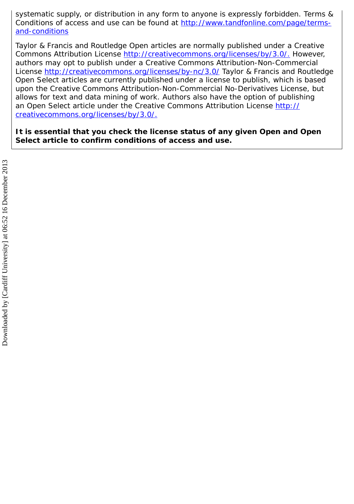systematic supply, or distribution in any form to anyone is expressly forbidden. Terms & Conditions of access and use can be found at [http://www.tandfonline.com/page/terms](http://www.tandfonline.com/page/terms-and-conditions)[and-conditions](http://www.tandfonline.com/page/terms-and-conditions)

Taylor & Francis and Routledge Open articles are normally published under a Creative Commons Attribution License<http://creativecommons.org/licenses/by/3.0/.> However, authors may opt to publish under a Creative Commons Attribution-Non-Commercial License<http://creativecommons.org/licenses/by-nc/3.0/> Taylor & Francis and Routledge Open Select articles are currently published under a license to publish, which is based upon the Creative Commons Attribution-Non-Commercial No-Derivatives License, but allows for text and data mining of work. Authors also have the option of publishing an Open Select article under the Creative Commons Attribution License [http://](http://creativecommons.org/licenses/by/3.0/.) [creativecommons.org/licenses/by/3.0/.](http://creativecommons.org/licenses/by/3.0/.)

**It is essential that you check the license status of any given Open and Open Select article to confirm conditions of access and use.**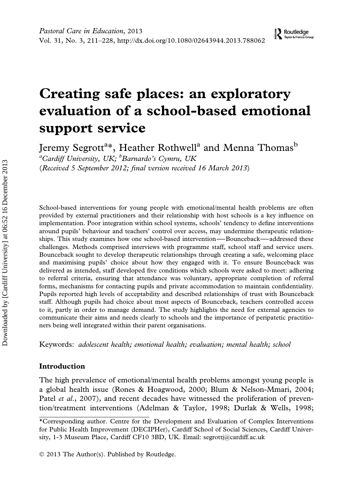# Creating safe places: an exploratory evaluation of a school-based emotional support service

Jeremy Segrott<sup>a</sup>\*, Heather Rothwell<sup>a</sup> and Menna Thomas<sup>b</sup> <sup>a</sup>Cardiff University, UK; <sup>b</sup>Barnardo's Cymru, UK (Received 5 September 2012; final version received 16 March 2013)

School-based interventions for young people with emotional/mental health problems are often provided by external practitioners and their relationship with host schools is a key influence on implementation. Poor integration within school systems, schools' tendency to define interventions around pupils' behaviour and teachers' control over access, may undermine therapeutic relationships. This study examines how one school-based intervention——Bounceback——addressed these challenges. Methods comprised interviews with programme staff, school staff and service users. Bounceback sought to develop therapeutic relationships through creating a safe, welcoming place and maximising pupils' choice about how they engaged with it. To ensure Bounceback was delivered as intended, staff developed five conditions which schools were asked to meet: adhering to referral criteria, ensuring that attendance was voluntary, appropriate completion of referral forms, mechanisms for contacting pupils and private accommodation to maintain confidentiality. Pupils reported high levels of acceptability and described relationships of trust with Bounceback staff. Although pupils had choice about most aspects of Bounceback, teachers controlled access to it, partly in order to manage demand. The study highlights the need for external agencies to communicate their aims and needs clearly to schools and the importance of peripatetic practitioners being well integrated within their parent organisations.

Keywords: adolescent health; emotional health; evaluation; mental health; school

#### Introduction

The high prevalence of emotional/mental health problems amongst young people is a global health issue (Rones & Hoagwood, 2000; Blum & Nelson-Mmari, 2004; Patel *et al.*, 2007), and recent decades have witnessed the proliferation of prevention/treatment interventions (Adelman & Taylor, 1998; Durlak & Wells, 1998;

<sup>\*</sup>Corresponding author. Centre for the Development and Evaluation of Complex Interventions for Public Health Improvement (DECIPHer), Cardiff School of Social Sciences, Cardiff University, 1-3 Museum Place, Cardiff CF10 3BD, UK. Email: segrottj@cardiff.ac.uk

2013 The Author(s). Published by Routledge.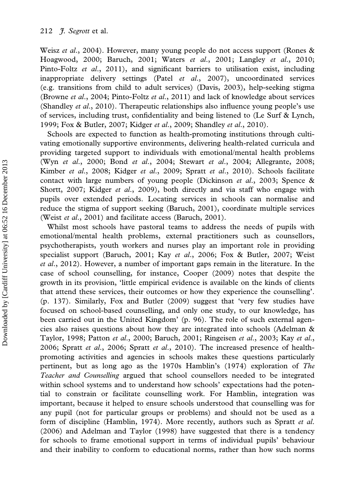Weisz et al., 2004). However, many young people do not access support (Rones & Hoagwood, 2000; Baruch, 2001; Waters et al., 2001; Langley et al., 2010; Pinto-Foltz et al., 2011), and significant barriers to utilisation exist, including inappropriate delivery settings (Patel et al., 2007), uncoordinated services (e.g. transitions from child to adult services) (Davis, 2003), help-seeking stigma (Browne et al., 2004; Pinto-Foltz et al., 2011) and lack of knowledge about services (Shandley et al., 2010). Therapeutic relationships also influence young people's use of services, including trust, confidentiality and being listened to (Le Surf & Lynch, 1999; Fox & Butler, 2007; Kidger et al., 2009; Shandley et al., 2010).

Schools are expected to function as health-promoting institutions through cultivating emotionally supportive environments, delivering health-related curricula and providing targeted support to individuals with emotional/mental health problems (Wyn et al., 2000; Bond et al., 2004; Stewart et al., 2004; Allegrante, 2008; Kimber et al., 2008; Kidger et al., 2009; Spratt et al., 2010). Schools facilitate contact with large numbers of young people (Dickinson *et al.*, 2003; Spence & Shortt, 2007; Kidger *et al.*, 2009), both directly and via staff who engage with pupils over extended periods. Locating services in schools can normalise and reduce the stigma of support seeking (Baruch, 2001), coordinate multiple services (Weist et al., 2001) and facilitate access (Baruch, 2001).

Whilst most schools have pastoral teams to address the needs of pupils with emotional/mental health problems, external practitioners such as counsellors, psychotherapists, youth workers and nurses play an important role in providing specialist support (Baruch, 2001; Kay et al., 2006; Fox & Butler, 2007; Weist et al., 2012). However, a number of important gaps remain in the literature. In the case of school counselling, for instance, Cooper (2009) notes that despite the growth in its provision, 'little empirical evidence is available on the kinds of clients that attend these services, their outcomes or how they experience the counselling'. (p. 137). Similarly, Fox and Butler (2009) suggest that 'very few studies have focused on school-based counselling, and only one study, to our knowledge, has been carried out in the United Kingdom' (p. 96). The role of such external agencies also raises questions about how they are integrated into schools (Adelman & Taylor, 1998; Patton et al., 2000; Baruch, 2001; Ringeisen et al., 2003; Kay et al., 2006; Spratt et al., 2006; Spratt et al., 2010). The increased presence of healthpromoting activities and agencies in schools makes these questions particularly pertinent, but as long ago as the 1970s Hamblin's (1974) exploration of The Teacher and Counselling argued that school counsellors needed to be integrated within school systems and to understand how schools' expectations had the potential to constrain or facilitate counselling work. For Hamblin, integration was important, because it helped to ensure schools understood that counselling was for any pupil (not for particular groups or problems) and should not be used as a form of discipline (Hamblin, 1974). More recently, authors such as Spratt *et al.* (2006) and Adelman and Taylor (1998) have suggested that there is a tendency for schools to frame emotional support in terms of individual pupils' behaviour and their inability to conform to educational norms, rather than how such norms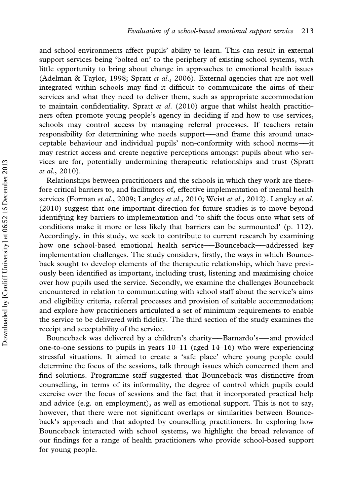and school environments affect pupils' ability to learn. This can result in external support services being 'bolted on' to the periphery of existing school systems, with little opportunity to bring about change in approaches to emotional health issues (Adelman & Taylor, 1998; Spratt et al., 2006). External agencies that are not well integrated within schools may find it difficult to communicate the aims of their services and what they need to deliver them, such as appropriate accommodation to maintain confidentiality. Spratt et al.  $(2010)$  argue that whilst health practitioners often promote young people's agency in deciding if and how to use services, schools may control access by managing referral processes. If teachers retain responsibility for determining who needs support——and frame this around unacceptable behaviour and individual pupils' non-conformity with school norms——it may restrict access and create negative perceptions amongst pupils about who services are for, potentially undermining therapeutic relationships and trust (Spratt et al., 2010).

Relationships between practitioners and the schools in which they work are therefore critical barriers to, and facilitators of, effective implementation of mental health services (Forman et al., 2009; Langley et al., 2010; Weist et al., 2012). Langley et al. (2010) suggest that one important direction for future studies is to move beyond identifying key barriers to implementation and 'to shift the focus onto what sets of conditions make it more or less likely that barriers can be surmounted' (p. 112). Accordingly, in this study, we seek to contribute to current research by examining how one school-based emotional health service——Bounceback——addressed key implementation challenges. The study considers, firstly, the ways in which Bounceback sought to develop elements of the therapeutic relationship, which have previously been identified as important, including trust, listening and maximising choice over how pupils used the service. Secondly, we examine the challenges Bounceback encountered in relation to communicating with school staff about the service's aims and eligibility criteria, referral processes and provision of suitable accommodation; and explore how practitioners articulated a set of minimum requirements to enable the service to be delivered with fidelity. The third section of the study examines the receipt and acceptability of the service.

Bounceback was delivered by a children's charity——Barnardo's——and provided one-to-one sessions to pupils in years 10–11 (aged 14–16) who were experiencing stressful situations. It aimed to create a 'safe place' where young people could determine the focus of the sessions, talk through issues which concerned them and find solutions. Programme staff suggested that Bounceback was distinctive from counselling, in terms of its informality, the degree of control which pupils could exercise over the focus of sessions and the fact that it incorporated practical help and advice (e.g. on employment), as well as emotional support. This is not to say, however, that there were not significant overlaps or similarities between Bounceback's approach and that adopted by counselling practitioners. In exploring how Bounceback interacted with school systems, we highlight the broad relevance of our findings for a range of health practitioners who provide school-based support for young people.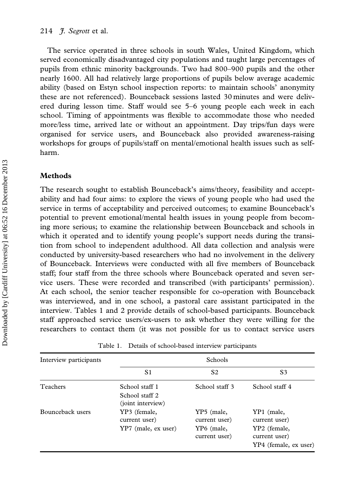The service operated in three schools in south Wales, United Kingdom, which served economically disadvantaged city populations and taught large percentages of pupils from ethnic minority backgrounds. Two had 800–900 pupils and the other nearly 1600. All had relatively large proportions of pupils below average academic ability (based on Estyn school inspection reports: to maintain schools' anonymity these are not referenced). Bounceback sessions lasted 30 minutes and were delivered during lesson time. Staff would see 5–6 young people each week in each school. Timing of appointments was flexible to accommodate those who needed more/less time, arrived late or without an appointment. Day trips/fun days were organised for service users, and Bounceback also provided awareness-raising workshops for groups of pupils/staff on mental/emotional health issues such as selfharm.

#### Methods

The research sought to establish Bounceback's aims/theory, feasibility and acceptability and had four aims: to explore the views of young people who had used the service in terms of acceptability and perceived outcomes; to examine Bounceback's potential to prevent emotional/mental health issues in young people from becoming more serious; to examine the relationship between Bounceback and schools in which it operated and to identify young people's support needs during the transition from school to independent adulthood. All data collection and analysis were conducted by university-based researchers who had no involvement in the delivery of Bounceback. Interviews were conducted with all five members of Bounceback staff; four staff from the three schools where Bounceback operated and seven service users. These were recorded and transcribed (with participants' permission). At each school, the senior teacher responsible for co-operation with Bounceback was interviewed, and in one school, a pastoral care assistant participated in the interview. Tables 1 and 2 provide details of school-based participants. Bounceback staff approached service users/ex-users to ask whether they were willing for the researchers to contact them (it was not possible for us to contact service users

| Interview participants | Schools                                               |                                                            |                                                                                       |  |  |
|------------------------|-------------------------------------------------------|------------------------------------------------------------|---------------------------------------------------------------------------------------|--|--|
|                        | S1                                                    | S <sub>2</sub>                                             | S <sub>3</sub>                                                                        |  |  |
| Teachers               | School staff 1<br>School staff 2<br>(joint interview) | School staff 3                                             | School staff 4                                                                        |  |  |
| Bounceback users       | YP3 (female,<br>current user)<br>YP7 (male, ex user)  | YP5 (male,<br>current user)<br>YP6 (male,<br>current user) | YP1 (male,<br>current user)<br>YP2 (female,<br>current user)<br>YP4 (female, ex user) |  |  |

Table 1. Details of school-based interview participants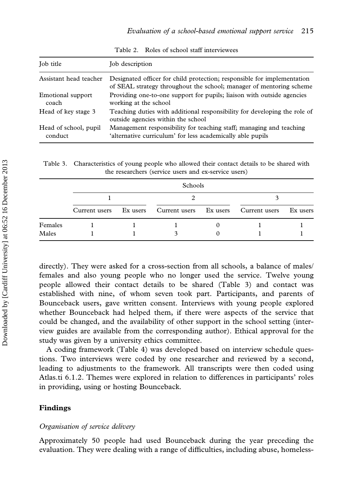| Tob title                        | Job description                                                                                                                                |
|----------------------------------|------------------------------------------------------------------------------------------------------------------------------------------------|
| Assistant head teacher           | Designated officer for child protection; responsible for implementation<br>of SEAL strategy throughout the school; manager of mentoring scheme |
| Emotional support<br>coach       | Providing one-to-one support for pupils; liaison with outside agencies<br>working at the school                                                |
| Head of key stage 3              | Teaching duties with additional responsibility for developing the role of<br>outside agencies within the school                                |
| Head of school, pupil<br>conduct | Management responsibility for teaching staff; managing and teaching<br>'alternative curriculum' for less academically able pupils              |

Table 2. Roles of school staff interviewees

Table 3. Characteristics of young people who allowed their contact details to be shared with the researchers (service users and ex-service users)

|         | Schools       |          |                                      |  |  |          |  |
|---------|---------------|----------|--------------------------------------|--|--|----------|--|
|         |               |          |                                      |  |  |          |  |
|         | Current users | Ex users | Current users Ex users Current users |  |  | Ex users |  |
| Females |               |          |                                      |  |  |          |  |
| Males   |               |          |                                      |  |  |          |  |

directly). They were asked for a cross-section from all schools, a balance of males/ females and also young people who no longer used the service. Twelve young people allowed their contact details to be shared (Table 3) and contact was established with nine, of whom seven took part. Participants, and parents of Bounceback users, gave written consent. Interviews with young people explored whether Bounceback had helped them, if there were aspects of the service that could be changed, and the availability of other support in the school setting (interview guides are available from the corresponding author). Ethical approval for the study was given by a university ethics committee.

A coding framework (Table 4) was developed based on interview schedule questions. Two interviews were coded by one researcher and reviewed by a second, leading to adjustments to the framework. All transcripts were then coded using Atlas.ti 6.1.2. Themes were explored in relation to differences in participants' roles in providing, using or hosting Bounceback.

#### Findings

#### Organisation of service delivery

Approximately 50 people had used Bounceback during the year preceding the evaluation. They were dealing with a range of difficulties, including abuse, homeless-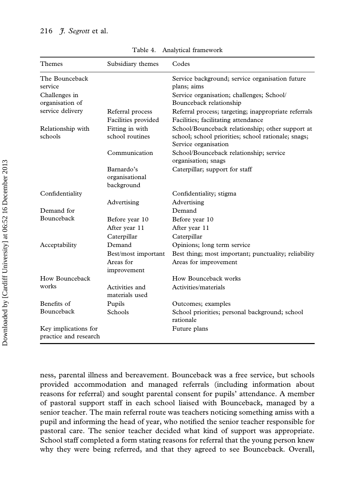| Themes                                        | Subsidiary themes   | Codes                                                                |
|-----------------------------------------------|---------------------|----------------------------------------------------------------------|
| The Bounceback                                |                     | Service background; service organisation future                      |
| service                                       |                     | plans; aims                                                          |
| Challenges in<br>organisation of              |                     | Service organisation; challenges; School/<br>Bounceback relationship |
| service delivery                              | Referral process    | Referral process; targeting; inappropriate referrals                 |
|                                               | Facilities provided | Facilities; facilitating attendance                                  |
| Relationship with                             | Fitting in with     | School/Bounceback relationship; other support at                     |
| schools                                       | school routines     | school; school priorities; school rationale; snags;                  |
|                                               |                     | Service organisation                                                 |
|                                               | Communication       | School/Bounceback relationship; service<br>organisation; snags       |
|                                               | Barnardo's          | Caterpillar; support for staff                                       |
|                                               | organisational      |                                                                      |
|                                               | background          |                                                                      |
| Confidentiality                               |                     | Confidentiality; stigma                                              |
|                                               | Advertising         | Advertising                                                          |
| Demand for                                    |                     | Demand                                                               |
| Bounceback                                    | Before year 10      | Before year 10                                                       |
|                                               | After year 11       | After year 11                                                        |
|                                               | Caterpillar         | Caterpillar                                                          |
| Acceptability                                 | Demand              | Opinions; long term service                                          |
|                                               | Best/most important | Best thing; most important; punctuality; reliability                 |
|                                               | Areas for           | Areas for improvement                                                |
|                                               | improvement         |                                                                      |
| How Bounceback                                |                     | How Bounceback works                                                 |
| works                                         | Activities and      | Activities/materials                                                 |
|                                               | materials used      |                                                                      |
| Benefits of                                   | Pupils              | Outcomes; examples                                                   |
| Bounceback                                    | <b>Schools</b>      | School priorities; personal background; school<br>rationale          |
| Key implications for<br>practice and research |                     | Future plans                                                         |

Table 4. Analytical framework

ness, parental illness and bereavement. Bounceback was a free service, but schools provided accommodation and managed referrals (including information about reasons for referral) and sought parental consent for pupils' attendance. A member of pastoral support staff in each school liaised with Bounceback, managed by a senior teacher. The main referral route was teachers noticing something amiss with a pupil and informing the head of year, who notified the senior teacher responsible for pastoral care. The senior teacher decided what kind of support was appropriate. School staff completed a form stating reasons for referral that the young person knew why they were being referred, and that they agreed to see Bounceback. Overall,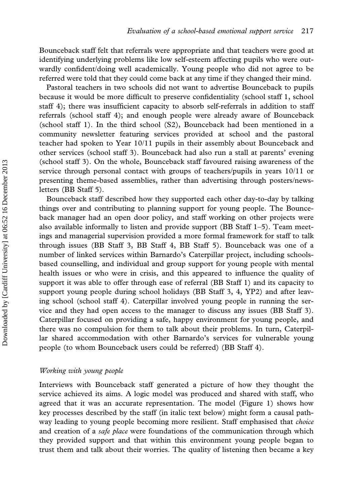Bounceback staff felt that referrals were appropriate and that teachers were good at identifying underlying problems like low self-esteem affecting pupils who were outwardly confident/doing well academically. Young people who did not agree to be referred were told that they could come back at any time if they changed their mind.

Pastoral teachers in two schools did not want to advertise Bounceback to pupils because it would be more difficult to preserve confidentiality (school staff 1, school staff 4); there was insufficient capacity to absorb self-referrals in addition to staff referrals (school staff 4); and enough people were already aware of Bounceback (school staff 1). In the third school (S2), Bounceback had been mentioned in a community newsletter featuring services provided at school and the pastoral teacher had spoken to Year 10/11 pupils in their assembly about Bounceback and other services (school staff 3). Bounceback had also run a stall at parents' evening (school staff 3). On the whole, Bounceback staff favoured raising awareness of the service through personal contact with groups of teachers/pupils in years 10/11 or presenting theme-based assemblies, rather than advertising through posters/newsletters (BB Staff 5).

Bounceback staff described how they supported each other day-to-day by talking things over and contributing to planning support for young people. The Bounceback manager had an open door policy, and staff working on other projects were also available informally to listen and provide support (BB Staff 1–5). Team meetings and managerial supervision provided a more formal framework for staff to talk through issues (BB Staff 3, BB Staff 4, BB Staff 5). Bounceback was one of a number of linked services within Barnardo's Caterpillar project, including schoolsbased counselling, and individual and group support for young people with mental health issues or who were in crisis, and this appeared to influence the quality of support it was able to offer through ease of referral (BB Staff 1) and its capacity to support young people during school holidays (BB Staff 3, 4, YP2) and after leaving school (school staff 4). Caterpillar involved young people in running the service and they had open access to the manager to discuss any issues (BB Staff 3). Caterpillar focused on providing a safe, happy environment for young people, and there was no compulsion for them to talk about their problems. In turn, Caterpillar shared accommodation with other Barnardo's services for vulnerable young people (to whom Bounceback users could be referred) (BB Staff 4).

#### Working with young people

Interviews with Bounceback staff generated a picture of how they thought the service achieved its aims. A logic model was produced and shared with staff, who agreed that it was an accurate representation. The model (Figure 1) shows how key processes described by the staff (in italic text below) might form a causal pathway leading to young people becoming more resilient. Staff emphasised that *choice* and creation of a *safe place* were foundations of the communication through which they provided support and that within this environment young people began to trust them and talk about their worries. The quality of listening then became a key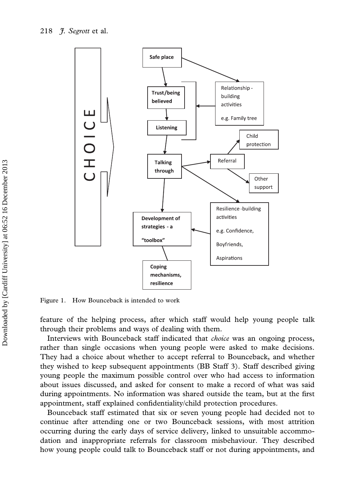

Figure 1. How Bounceback is intended to work

feature of the helping process, after which staff would help young people talk through their problems and ways of dealing with them.

Interviews with Bounceback staff indicated that choice was an ongoing process, rather than single occasions when young people were asked to make decisions. They had a choice about whether to accept referral to Bounceback, and whether they wished to keep subsequent appointments (BB Staff 3). Staff described giving young people the maximum possible control over who had access to information about issues discussed, and asked for consent to make a record of what was said during appointments. No information was shared outside the team, but at the first appointment, staff explained confidentiality/child protection procedures.

Bounceback staff estimated that six or seven young people had decided not to continue after attending one or two Bounceback sessions, with most attrition occurring during the early days of service delivery, linked to unsuitable accommodation and inappropriate referrals for classroom misbehaviour. They described how young people could talk to Bounceback staff or not during appointments, and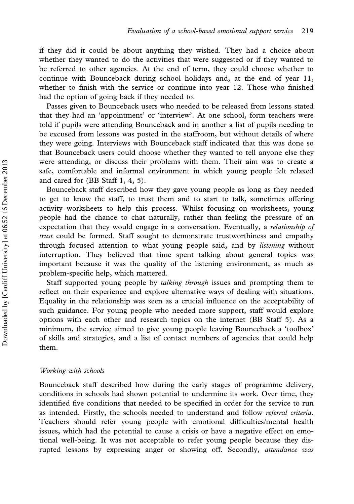if they did it could be about anything they wished. They had a choice about whether they wanted to do the activities that were suggested or if they wanted to be referred to other agencies. At the end of term, they could choose whether to continue with Bounceback during school holidays and, at the end of year 11, whether to finish with the service or continue into year 12. Those who finished had the option of going back if they needed to.

Passes given to Bounceback users who needed to be released from lessons stated that they had an 'appointment' or 'interview'. At one school, form teachers were told if pupils were attending Bounceback and in another a list of pupils needing to be excused from lessons was posted in the staffroom, but without details of where they were going. Interviews with Bounceback staff indicated that this was done so that Bounceback users could choose whether they wanted to tell anyone else they were attending, or discuss their problems with them. Their aim was to create a safe, comfortable and informal environment in which young people felt relaxed and cared for (BB Staff 1, 4, 5).

Bounceback staff described how they gave young people as long as they needed to get to know the staff, to trust them and to start to talk, sometimes offering activity worksheets to help this process. Whilst focusing on worksheets, young people had the chance to chat naturally, rather than feeling the pressure of an expectation that they would engage in a conversation. Eventually, a relationship of *trust* could be formed. Staff sought to demonstrate trustworthiness and empathy through focused attention to what young people said, and by listening without interruption. They believed that time spent talking about general topics was important because it was the quality of the listening environment, as much as problem-specific help, which mattered.

Staff supported young people by talking through issues and prompting them to reflect on their experience and explore alternative ways of dealing with situations. Equality in the relationship was seen as a crucial influence on the acceptability of such guidance. For young people who needed more support, staff would explore options with each other and research topics on the internet (BB Staff 5). As a minimum, the service aimed to give young people leaving Bounceback a 'toolbox' of skills and strategies, and a list of contact numbers of agencies that could help them.

#### Working with schools

Bounceback staff described how during the early stages of programme delivery, conditions in schools had shown potential to undermine its work. Over time, they identified five conditions that needed to be specified in order for the service to run as intended. Firstly, the schools needed to understand and follow referral criteria. Teachers should refer young people with emotional difficulties/mental health issues, which had the potential to cause a crisis or have a negative effect on emotional well-being. It was not acceptable to refer young people because they disrupted lessons by expressing anger or showing off. Secondly, attendance was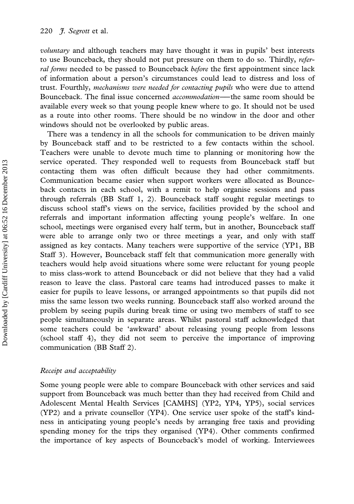voluntary and although teachers may have thought it was in pupils' best interests to use Bounceback, they should not put pressure on them to do so. Thirdly, referral forms needed to be passed to Bounceback before the first appointment since lack of information about a person's circumstances could lead to distress and loss of trust. Fourthly, mechanisms were needed for contacting pupils who were due to attend Bounceback. The final issue concerned *accommodation*—the same room should be available every week so that young people knew where to go. It should not be used as a route into other rooms. There should be no window in the door and other windows should not be overlooked by public areas.

There was a tendency in all the schools for communication to be driven mainly by Bounceback staff and to be restricted to a few contacts within the school. Teachers were unable to devote much time to planning or monitoring how the service operated. They responded well to requests from Bounceback staff but contacting them was often difficult because they had other commitments. Communication became easier when support workers were allocated as Bounceback contacts in each school, with a remit to help organise sessions and pass through referrals (BB Staff 1, 2). Bounceback staff sought regular meetings to discuss school staff's views on the service, facilities provided by the school and referrals and important information affecting young people's welfare. In one school, meetings were organised every half term, but in another, Bounceback staff were able to arrange only two or three meetings a year, and only with staff assigned as key contacts. Many teachers were supportive of the service (YP1, BB Staff 3). However, Bounceback staff felt that communication more generally with teachers would help avoid situations where some were reluctant for young people to miss class-work to attend Bounceback or did not believe that they had a valid reason to leave the class. Pastoral care teams had introduced passes to make it easier for pupils to leave lessons, or arranged appointments so that pupils did not miss the same lesson two weeks running. Bounceback staff also worked around the problem by seeing pupils during break time or using two members of staff to see people simultaneously in separate areas. Whilst pastoral staff acknowledged that some teachers could be 'awkward' about releasing young people from lessons (school staff 4), they did not seem to perceive the importance of improving communication (BB Staff 2).

#### Receipt and acceptability

Some young people were able to compare Bounceback with other services and said support from Bounceback was much better than they had received from Child and Adolescent Mental Health Services [CAMHS] (YP2, YP4, YP5), social services (YP2) and a private counsellor (YP4). One service user spoke of the staff's kindness in anticipating young people's needs by arranging free taxis and providing spending money for the trips they organised (YP4). Other comments confirmed the importance of key aspects of Bounceback's model of working. Interviewees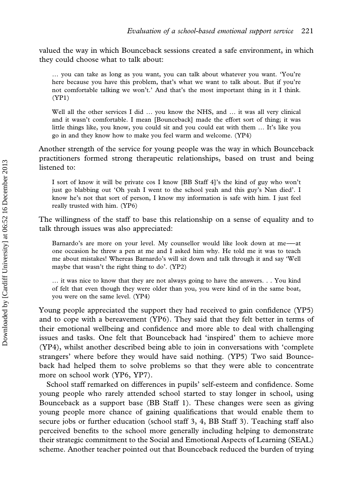valued the way in which Bounceback sessions created a safe environment, in which they could choose what to talk about:

… you can take as long as you want, you can talk about whatever you want. 'You're here because you have this problem, that's what we want to talk about. But if you're not comfortable talking we won't.' And that's the most important thing in it I think. (YP1)

Well all the other services I did ... you know the NHS, and ... it was all very clinical and it wasn't comfortable. I mean [Bounceback] made the effort sort of thing; it was little things like, you know, you could sit and you could eat with them … It's like you go in and they know how to make you feel warm and welcome. (YP4)

Another strength of the service for young people was the way in which Bounceback practitioners formed strong therapeutic relationships, based on trust and being listened to:

I sort of know it will be private cos I know [BB Staff 4]'s the kind of guy who won't just go blabbing out 'Oh yeah I went to the school yeah and this guy's Nan died'. I know he's not that sort of person, I know my information is safe with him. I just feel really trusted with him. (YP6)

The willingness of the staff to base this relationship on a sense of equality and to talk through issues was also appreciated:

Barnardo's are more on your level. My counsellor would like look down at me——at one occasion he threw a pen at me and I asked him why. He told me it was to teach me about mistakes! Whereas Barnardo's will sit down and talk through it and say 'Well maybe that wasn't the right thing to do'. (YP2)

… it was nice to know that they are not always going to have the answers. . . You kind of felt that even though they were older than you, you were kind of in the same boat, you were on the same level. (YP4)

Young people appreciated the support they had received to gain confidence (YP5) and to cope with a bereavement (YP6). They said that they felt better in terms of their emotional wellbeing and confidence and more able to deal with challenging issues and tasks. One felt that Bounceback had 'inspired' them to achieve more (YP4), whilst another described being able to join in conversations with 'complete strangers' where before they would have said nothing. (YP5) Two said Bounceback had helped them to solve problems so that they were able to concentrate more on school work (YP6, YP7).

School staff remarked on differences in pupils' self-esteem and confidence. Some young people who rarely attended school started to stay longer in school, using Bounceback as a support base (BB Staff 1). These changes were seen as giving young people more chance of gaining qualifications that would enable them to secure jobs or further education (school staff 3, 4, BB Staff 3). Teaching staff also perceived benefits to the school more generally including helping to demonstrate their strategic commitment to the Social and Emotional Aspects of Learning (SEAL) scheme. Another teacher pointed out that Bounceback reduced the burden of trying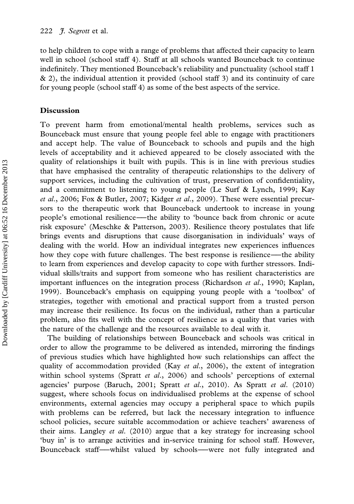to help children to cope with a range of problems that affected their capacity to learn well in school (school staff 4). Staff at all schools wanted Bounceback to continue indefinitely. They mentioned Bounceback's reliability and punctuality (school staff 1  $\&$  2), the individual attention it provided (school staff 3) and its continuity of care for young people (school staff 4) as some of the best aspects of the service.

#### Discussion

To prevent harm from emotional/mental health problems, services such as Bounceback must ensure that young people feel able to engage with practitioners and accept help. The value of Bounceback to schools and pupils and the high levels of acceptability and it achieved appeared to be closely associated with the quality of relationships it built with pupils. This is in line with previous studies that have emphasised the centrality of therapeutic relationships to the delivery of support services, including the cultivation of trust, preservation of confidentiality, and a commitment to listening to young people (Le Surf & Lynch, 1999; Kay et al., 2006; Fox & Butler, 2007; Kidger et al., 2009). These were essential precursors to the therapeutic work that Bounceback undertook to increase in young people's emotional resilience——the ability to 'bounce back from chronic or acute risk exposure' (Meschke & Patterson, 2003). Resilience theory postulates that life brings events and disruptions that cause disorganisation in individuals' ways of dealing with the world. How an individual integrates new experiences influences how they cope with future challenges. The best response is resilience——the ability to learn from experiences and develop capacity to cope with further stressors. Individual skills/traits and support from someone who has resilient characteristics are important influences on the integration process (Richardson et al., 1990; Kaplan, 1999). Bounceback's emphasis on equipping young people with a 'toolbox' of strategies, together with emotional and practical support from a trusted person may increase their resilience. Its focus on the individual, rather than a particular problem, also fits well with the concept of resilience as a quality that varies with the nature of the challenge and the resources available to deal with it.

The building of relationships between Bounceback and schools was critical in order to allow the programme to be delivered as intended, mirroring the findings of previous studies which have highlighted how such relationships can affect the quality of accommodation provided (Kay et al., 2006), the extent of integration within school systems (Spratt *et al.*, 2006) and schools' perceptions of external agencies' purpose (Baruch, 2001; Spratt et al., 2010). As Spratt et al. (2010) suggest, where schools focus on individualised problems at the expense of school environments, external agencies may occupy a peripheral space to which pupils with problems can be referred, but lack the necessary integration to influence school policies, secure suitable accommodation or achieve teachers' awareness of their aims. Langley et al.  $(2010)$  argue that a key strategy for increasing school 'buy in' is to arrange activities and in-service training for school staff. However, Bounceback staff——whilst valued by schools——were not fully integrated and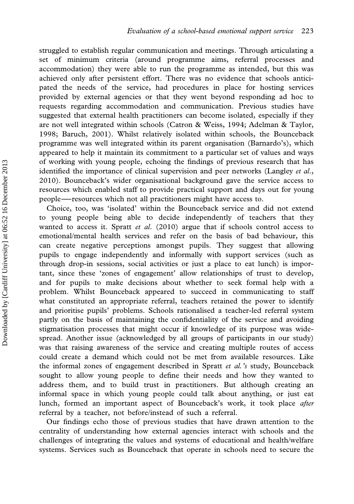struggled to establish regular communication and meetings. Through articulating a set of minimum criteria (around programme aims, referral processes and accommodation) they were able to run the programme as intended, but this was achieved only after persistent effort. There was no evidence that schools anticipated the needs of the service, had procedures in place for hosting services provided by external agencies or that they went beyond responding ad hoc to requests regarding accommodation and communication. Previous studies have suggested that external health practitioners can become isolated, especially if they are not well integrated within schools (Catron & Weiss, 1994; Adelman & Taylor, 1998; Baruch, 2001). Whilst relatively isolated within schools, the Bounceback programme was well integrated within its parent organisation (Barnardo's), which appeared to help it maintain its commitment to a particular set of values and ways of working with young people, echoing the findings of previous research that has identified the importance of clinical supervision and peer networks (Langley  $et al.$ , 2010). Bounceback's wider organisational background gave the service access to resources which enabled staff to provide practical support and days out for young people——resources which not all practitioners might have access to.

Choice, too, was 'isolated' within the Bounceback service and did not extend to young people being able to decide independently of teachers that they wanted to access it. Spratt *et al.* (2010) argue that if schools control access to emotional/mental health services and refer on the basis of bad behaviour, this can create negative perceptions amongst pupils. They suggest that allowing pupils to engage independently and informally with support services (such as through drop-in sessions, social activities or just a place to eat lunch) is important, since these 'zones of engagement' allow relationships of trust to develop, and for pupils to make decisions about whether to seek formal help with a problem. Whilst Bounceback appeared to succeed in communicating to staff what constituted an appropriate referral, teachers retained the power to identify and prioritise pupils' problems. Schools rationalised a teacher-led referral system partly on the basis of maintaining the confidentiality of the service and avoiding stigmatisation processes that might occur if knowledge of its purpose was widespread. Another issue (acknowledged by all groups of participants in our study) was that raising awareness of the service and creating multiple routes of access could create a demand which could not be met from available resources. Like the informal zones of engagement described in Spratt et al.'s study, Bounceback sought to allow young people to define their needs and how they wanted to address them, and to build trust in practitioners. But although creating an informal space in which young people could talk about anything, or just eat lunch, formed an important aspect of Bounceback's work, it took place after referral by a teacher, not before/instead of such a referral.

Our findings echo those of previous studies that have drawn attention to the centrality of understanding how external agencies interact with schools and the challenges of integrating the values and systems of educational and health/welfare systems. Services such as Bounceback that operate in schools need to secure the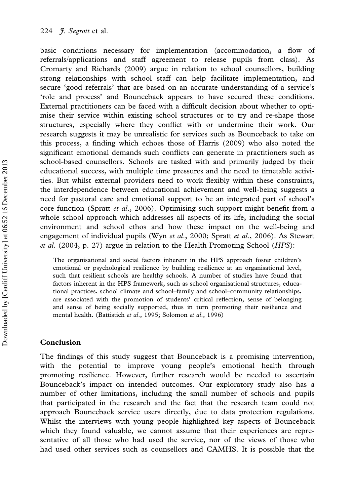basic conditions necessary for implementation (accommodation, a flow of referrals/applications and staff agreement to release pupils from class). As Cromarty and Richards (2009) argue in relation to school counsellors, building strong relationships with school staff can help facilitate implementation, and secure 'good referrals' that are based on an accurate understanding of a service's 'role and process' and Bounceback appears to have secured these conditions. External practitioners can be faced with a difficult decision about whether to optimise their service within existing school structures or to try and re-shape those structures, especially where they conflict with or undermine their work. Our research suggests it may be unrealistic for services such as Bounceback to take on this process, a finding which echoes those of Harris (2009) who also noted the significant emotional demands such conflicts can generate in practitioners such as school-based counsellors. Schools are tasked with and primarily judged by their educational success, with multiple time pressures and the need to timetable activities. But whilst external providers need to work flexibly within these constraints, the interdependence between educational achievement and well-being suggests a need for pastoral care and emotional support to be an integrated part of school's core function (Spratt et al., 2006). Optimising such support might benefit from a whole school approach which addresses all aspects of its life, including the social environment and school ethos and how these impact on the well-being and engagement of individual pupils (Wyn et al., 2000; Spratt et al., 2006). As Stewart *et al.* (2004, p. 27) argue in relation to the Health Promoting School ( $HPS$ ):

The organisational and social factors inherent in the HPS approach foster children's emotional or psychological resilience by building resilience at an organisational level, such that resilient schools are healthy schools. A number of studies have found that factors inherent in the HPS framework, such as school organisational structures, educational practices, school climate and school–family and school–community relationships, are associated with the promotion of students' critical reflection, sense of belonging and sense of being socially supported, thus in turn promoting their resilience and mental health. (Battistich et al., 1995; Solomon et al., 1996)

#### Conclusion

The findings of this study suggest that Bounceback is a promising intervention, with the potential to improve young people's emotional health through promoting resilience. However, further research would be needed to ascertain Bounceback's impact on intended outcomes. Our exploratory study also has a number of other limitations, including the small number of schools and pupils that participated in the research and the fact that the research team could not approach Bounceback service users directly, due to data protection regulations. Whilst the interviews with young people highlighted key aspects of Bounceback which they found valuable, we cannot assume that their experiences are representative of all those who had used the service, nor of the views of those who had used other services such as counsellors and CAMHS. It is possible that the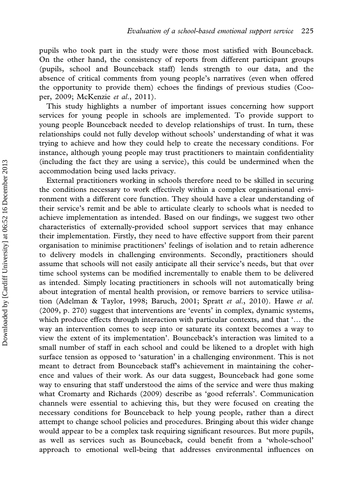pupils who took part in the study were those most satisfied with Bounceback. On the other hand, the consistency of reports from different participant groups (pupils, school and Bounceback staff) lends strength to our data, and the absence of critical comments from young people's narratives (even when offered the opportunity to provide them) echoes the findings of previous studies (Cooper, 2009; McKenzie et al., 2011).

This study highlights a number of important issues concerning how support services for young people in schools are implemented. To provide support to young people Bounceback needed to develop relationships of trust. In turn, these relationships could not fully develop without schools' understanding of what it was trying to achieve and how they could help to create the necessary conditions. For instance, although young people may trust practitioners to maintain confidentiality (including the fact they are using a service), this could be undermined when the accommodation being used lacks privacy.

External practitioners working in schools therefore need to be skilled in securing the conditions necessary to work effectively within a complex organisational environment with a different core function. They should have a clear understanding of their service's remit and be able to articulate clearly to schools what is needed to achieve implementation as intended. Based on our findings, we suggest two other characteristics of externally-provided school support services that may enhance their implementation. Firstly, they need to have effective support from their parent organisation to minimise practitioners' feelings of isolation and to retain adherence to delivery models in challenging environments. Secondly, practitioners should assume that schools will not easily anticipate all their service's needs, but that over time school systems can be modified incrementally to enable them to be delivered as intended. Simply locating practitioners in schools will not automatically bring about integration of mental health provision, or remove barriers to service utilisation (Adelman & Taylor, 1998; Baruch, 2001; Spratt et al., 2010). Hawe et al. (2009, p. 270) suggest that interventions are 'events' in complex, dynamic systems, which produce effects through interaction with particular contexts, and that '… the way an intervention comes to seep into or saturate its context becomes a way to view the extent of its implementation'. Bounceback's interaction was limited to a small number of staff in each school and could be likened to a droplet with high surface tension as opposed to 'saturation' in a challenging environment. This is not meant to detract from Bounceback staff's achievement in maintaining the coherence and values of their work. As our data suggest, Bounceback had gone some way to ensuring that staff understood the aims of the service and were thus making what Cromarty and Richards (2009) describe as 'good referrals'. Communication channels were essential to achieving this, but they were focused on creating the necessary conditions for Bounceback to help young people, rather than a direct attempt to change school policies and procedures. Bringing about this wider change would appear to be a complex task requiring significant resources. But more pupils, as well as services such as Bounceback, could benefit from a 'whole-school' approach to emotional well-being that addresses environmental influences on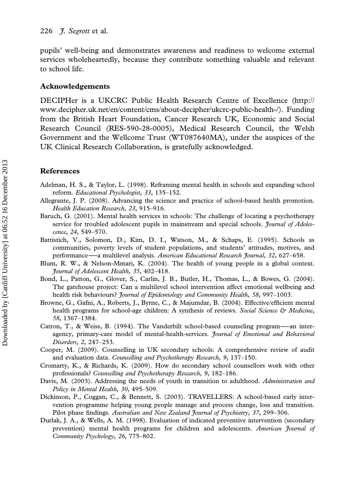pupils' well-being and demonstrates awareness and readiness to welcome external services wholeheartedly, because they contribute something valuable and relevant to school life.

#### Acknowledgements

DECIPHer is a UKCRC Public Health Research Centre of Excellence ([http://](http://www.decipher.uk.net/en/content/cms/about-decipher/ukcrc-public-health-/) [www.decipher.uk.net/en/content/cms/about-decipher/ukcrc-public-health-/](http://www.decipher.uk.net/en/content/cms/about-decipher/ukcrc-public-health-/)). Funding from the British Heart Foundation, Cancer Research UK, Economic and Social Research Council (RES-590-28-0005), Medical Research Council, the Welsh Government and the Wellcome Trust (WT087640MA), under the auspices of the UK Clinical Research Collaboration, is gratefully acknowledged.

#### References

- Adelman, H. S., & Taylor, L. (1998). Reframing mental health in schools and expanding school reform. Educational Psychologist, 33, 135–152.
- Allegrante, J. P. (2008). Advancing the science and practice of school-based health promotion. Health Education Research, 23, 915–916.
- Baruch, G. (2001). Mental health services in schools: The challenge of locating a psychotherapy service for troubled adolescent pupils in mainstream and special schools. *Journal of Adoles*cence, 24, 549–570.
- Battistich, V., Solomon, D., Kim, D. I., Watson, M., & Schaps, E. (1995). Schools as communities, poverty levels of student populations, and students' attitudes, motives, and performance——a multilevel analysis. American Educational Research Journal, 32, 627–658.
- Blum, R. W., & Nelson-Mmari, K. (2004). The health of young people in a global context. Journal of Adolescent Health, 35, 402–418.
- Bond, L., Patton, G., Glover, S., Carlin, J. B., Butler, H., Thomas, L., & Bowes, G. (2004). The gatehouse project: Can a multilevel school intervention affect emotional wellbeing and health risk behaviours? *Journal of Epidemiology and Community Health, 58*, 997–1003.
- Browne, G., Gafni, A., Roberts, J., Byrne, C., & Majumdar, B. (2004). Effective/efficient mental health programs for school-age children: A synthesis of reviews. Social Science & Medicine, 58, 1367–1384.
- Catron, T., & Weiss, B. (1994). The Vanderbilt school-based counseling program——an interagency, primary-care model of mental-health-services. Journal of Emotional and Behavioral Disorders, 2, 247–253.
- Cooper, M. (2009). Counselling in UK secondary schools: A comprehensive review of audit and evaluation data. Counselling and Psychotherapy Research, 9, 137–150.
- Cromarty, K., & Richards, K. (2009). How do secondary school counsellors work with other professionals? Counselling and Psychotherapy Research, 9, 182–186.
- Davis, M. (2003). Addressing the needs of youth in transition to adulthood. Administration and Policy in Mental Health, 30, 495–509.
- Dickinson, P., Coggan, C., & Bennett, S. (2003). TRAVELLERS: A school-based early intervention programme helping young people manage and process change, loss and transition. Pilot phase findings. Australian and New Zealand Journal of Psychiatry, 37, 299–306.
- Durlak, J. A., & Wells, A. M. (1998). Evaluation of indicated preventive intervention (secondary prevention) mental health programs for children and adolescents. American Journal of Community Psychology, 26, 775–802.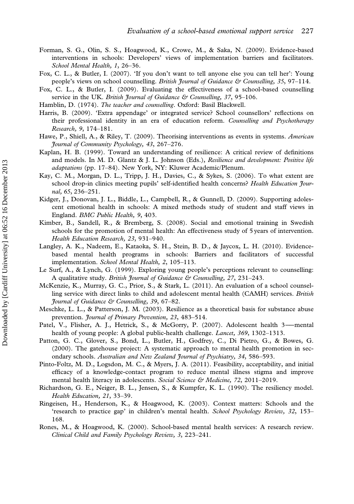- Forman, S. G., Olin, S. S., Hoagwood, K., Crowe, M., & Saka, N. (2009). Evidence-based interventions in schools: Developers' views of implementation barriers and facilitators. School Mental Health, 1, 26–36.
- Fox, C. L., & Butler, I. (2007). 'If you don't want to tell anyone else you can tell her': Young people's views on school counselling. British Journal of Guidance & Counselling, 35, 97–114.
- Fox, C. L., & Butler, I. (2009). Evaluating the effectiveness of a school-based counselling service in the UK. British Journal of Guidance & Counselling, 37, 95-106.
- Hamblin, D. (1974). The teacher and counselling. Oxford: Basil Blackwell.
- Harris, B. (2009). 'Extra appendage' or integrated service? School counsellors' reflections on their professional identity in an era of education reform. Counselling and Psychotherapy Research, 9, 174–181.
- Hawe, P., Shiell, A., & Riley, T. (2009). Theorising interventions as events in systems. American Journal of Community Psychology, 43, 267–276.
- Kaplan, H. B. (1999). Toward an understanding of resilience: A critical review of definitions and models. In M. D. Glantz & J. L. Johnson (Eds.), Resilience and development: Positive life adaptations (pp. 17–84). New York, NY: Kluwer Academic/Plenum.
- Kay, C. M., Morgan, D. L., Tripp, J. H., Davies, C., & Sykes, S. (2006). To what extent are school drop-in clinics meeting pupils' self-identified health concerns? Health Education Journal, 65, 236–251.
- Kidger, J., Donovan, J. L., Biddle, L., Campbell, R., & Gunnell, D. (2009). Supporting adolescent emotional health in schools: A mixed methods study of student and staff views in England. BMC Public Health, 9, 403.
- Kimber, B., Sandell, R., & Bremberg, S. (2008). Social and emotional training in Swedish schools for the promotion of mental health: An effectiveness study of 5 years of intervention. Health Education Research, 23, 931–940.
- Langley, A. K., Nadeem, E., Kataoka, S. H., Stein, B. D., & Jaycox, L. H. (2010). Evidencebased mental health programs in schools: Barriers and facilitators of successful implementation. School Mental Health, 2, 105–113.
- Le Surf, A., & Lynch, G. (1999). Exploring young people's perceptions relevant to counselling: A qualitative study. British Journal of Guidance & Counselling, 27, 231-243.
- McKenzie, K., Murray, G. C., Prior, S., & Stark, L. (2011). An evaluation of a school counselling service with direct links to child and adolescent mental health (CAMH) services. British Journal of Guidance & Counselling, 39, 67–82.
- Meschke, L. L., & Patterson, J. M. (2003). Resilience as a theoretical basis for substance abuse prevention. Journal of Primary Prevention, 23, 483-514.
- Patel, V., Flisher, A. J., Hetrick, S., & McGorry, P. (2007). Adolescent health 3——mental health of young people: A global public-health challenge. Lancet, 369, 1302–1313.
- Patton, G. C., Glover, S., Bond, L., Butler, H., Godfrey, C., Di Pietro, G., & Bowes, G. (2000). The gatehouse project: A systematic approach to mental health promotion in secondary schools. Australian and New Zealand Journal of Psychiatry, 34, 586-593.
- Pinto-Foltz, M. D., Logsdon, M. C., & Myers, J. A. (2011). Feasibility, acceptability, and initial efficacy of a knowledge-contact program to reduce mental illness stigma and improve mental health literacy in adolescents. Social Science & Medicine, 72, 2011-2019.
- Richardson, G. E., Neiger, B. L., Jensen, S., & Kumpfer, K. L. (1990). The resiliency model. Health Education, 21, 33–39.
- Ringeisen, H., Henderson, K., & Hoagwood, K. (2003). Context matters: Schools and the 'research to practice gap' in children's mental health. School Psychology Review, 32, 153– 168.
- Rones, M., & Hoagwood, K. (2000). School-based mental health services: A research review. Clinical Child and Family Psychology Review, 3, 223–241.